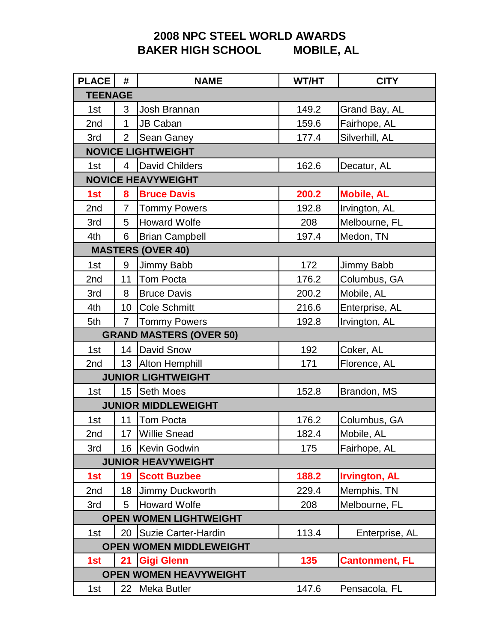## **2008 NPC STEEL WORLD AWARDS BAKER HIGH SCHOOL**

| <b>PLACE</b>              | #               | <b>NAME</b>                    | WT/HT | <b>CITY</b>           |  |
|---------------------------|-----------------|--------------------------------|-------|-----------------------|--|
|                           | <b>TEENAGE</b>  |                                |       |                       |  |
| 1st                       | 3               | Josh Brannan                   | 149.2 | Grand Bay, AL         |  |
| 2nd                       | 1               | <b>JB Caban</b>                | 159.6 | Fairhope, AL          |  |
| 3rd                       | $\overline{2}$  | Sean Ganey                     | 177.4 | Silverhill, AL        |  |
|                           |                 | <b>NOVICE LIGHTWEIGHT</b>      |       |                       |  |
| 1st                       | 4               | <b>David Childers</b>          | 162.6 | Decatur, AL           |  |
| <b>NOVICE HEAVYWEIGHT</b> |                 |                                |       |                       |  |
| 1st                       | 8               | <b>Bruce Davis</b>             | 200.2 | <b>Mobile, AL</b>     |  |
| 2nd                       | 7               | <b>Tommy Powers</b>            | 192.8 | Irvington, AL         |  |
| 3rd                       | 5               | <b>Howard Wolfe</b>            | 208   | Melbourne, FL         |  |
| 4th                       | 6               | <b>Brian Campbell</b>          | 197.4 | Medon, TN             |  |
|                           |                 | <b>MASTERS (OVER 40)</b>       |       |                       |  |
| 1st                       | 9               | Jimmy Babb                     | 172   | Jimmy Babb            |  |
| 2nd                       | 11              | Tom Pocta                      | 176.2 | Columbus, GA          |  |
| 3rd                       | 8               | <b>Bruce Davis</b>             | 200.2 | Mobile, AL            |  |
| 4th                       | 10 <sup>°</sup> | <b>Cole Schmitt</b>            | 216.6 | Enterprise, AL        |  |
| 5th                       | 7               | <b>Tommy Powers</b>            | 192.8 | Irvington, AL         |  |
|                           |                 | <b>GRAND MASTERS (OVER 50)</b> |       |                       |  |
| 1st                       | 14              | <b>David Snow</b>              | 192   | Coker, AL             |  |
| 2nd                       |                 | 13 Alton Hemphill              | 171   | Florence, AL          |  |
|                           |                 | <b>JUNIOR LIGHTWEIGHT</b>      |       |                       |  |
| 1st                       |                 | 15 Seth Moes                   | 152.8 | Brandon, MS           |  |
|                           |                 | <b>JUNIOR MIDDLEWEIGHT</b>     |       |                       |  |
| 1st                       | 11              | <b>Tom Pocta</b>               | 176.2 | Columbus, GA          |  |
| 2nd                       | 17 <sup>2</sup> | <b>Willie Snead</b>            | 182.4 | Mobile, AL            |  |
| 3rd                       | 16              | Kevin Godwin                   | 175   | Fairhope, AL          |  |
|                           |                 | <b>JUNIOR HEAVYWEIGHT</b>      |       |                       |  |
| 1st                       | 19              | <b>Scott Buzbee</b>            | 188.2 | <b>Irvington, AL</b>  |  |
| 2nd                       | 18              | Jimmy Duckworth                | 229.4 | Memphis, TN           |  |
| 3rd                       | 5               | <b>Howard Wolfe</b>            | 208   | Melbourne, FL         |  |
|                           |                 | <b>OPEN WOMEN LIGHTWEIGHT</b>  |       |                       |  |
| 1st                       | 20              | Suzie Carter-Hardin            | 113.4 | Enterprise, AL        |  |
|                           |                 | <b>OPEN WOMEN MIDDLEWEIGHT</b> |       |                       |  |
| 1st                       | 21              | <b>Gigi Glenn</b>              | 135   | <b>Cantonment, FL</b> |  |
|                           |                 | <b>OPEN WOMEN HEAVYWEIGHT</b>  |       |                       |  |
| 1st                       |                 | 22 Meka Butler                 | 147.6 | Pensacola, FL         |  |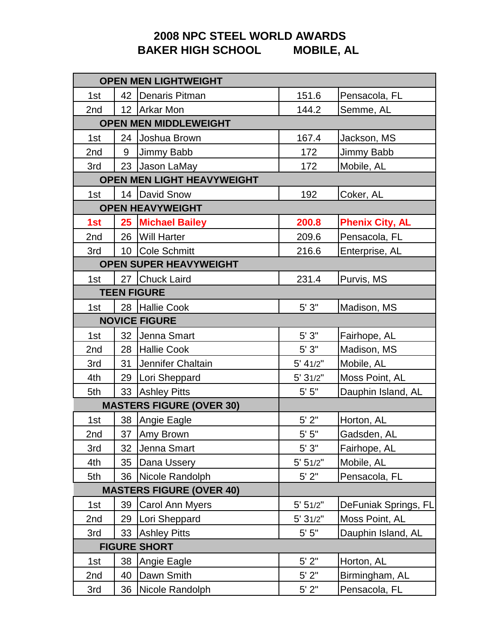## **2008 NPC STEEL WORLD AWARDS BAKER HIGH SCHOOL**

|                    |        | <b>OPEN MEN LIGHTWEIGHT</b>     |           |                        |
|--------------------|--------|---------------------------------|-----------|------------------------|
| 1st                |        | 42   Denaris Pitman             | 151.6     | Pensacola, FL          |
| 2nd                |        | 12 Arkar Mon                    | 144.2     | Semme, AL              |
|                    |        | <b>OPEN MEN MIDDLEWEIGHT</b>    |           |                        |
| 1st                | 24     | Joshua Brown                    | 167.4     | Jackson, MS            |
| 2nd                | 9      | Jimmy Babb                      | 172       | Jimmy Babb             |
| 3rd                | 23     | Jason LaMay                     | 172       | Mobile, AL             |
|                    |        | OPEN MEN LIGHT HEAVYWEIGHT      |           |                        |
| 1st                |        | 14   David Snow                 | 192       | Coker, AL              |
|                    |        | <b>OPEN HEAVYWEIGHT</b>         |           |                        |
| 1st                |        | 25 Michael Bailey               | 200.8     | <b>Phenix City, AL</b> |
| 2nd                |        | 26   Will Harter                | 209.6     | Pensacola, FL          |
| 3rd                | $10-1$ | <b>Cole Schmitt</b>             | 216.6     | Enterprise, AL         |
|                    |        | <b>OPEN SUPER HEAVYWEIGHT</b>   |           |                        |
| 1st                | 27     | <b>Chuck Laird</b>              | 231.4     | Purvis, MS             |
| <b>TEEN FIGURE</b> |        |                                 |           |                        |
| 1st                |        | 28 Hallie Cook                  | 5'3"      | Madison, MS            |
|                    |        | <b>NOVICE FIGURE</b>            |           |                        |
| 1st                | 32     | Jenna Smart                     | $5'3"$    | Fairhope, AL           |
| 2nd                | 28     | Hallie Cook                     | $5'3"$    | Madison, MS            |
| 3rd                | 31     | Jennifer Chaltain               | 5' 41/2"  | Mobile, AL             |
| 4th                | 29     | Lori Sheppard                   | 5' 31/2"  | Moss Point, AL         |
| 5th                | 33     | <b>Ashley Pitts</b>             | $5'$ $5"$ | Dauphin Island, AL     |
|                    |        | <b>MASTERS FIGURE (OVER 30)</b> |           |                        |
| 1st                | 38     | Angie Eagle                     | $5'$ $2"$ | Horton, AL             |
| 2nd                | 37     | Amy Brown                       | $5'$ $5"$ | Gadsden, AL            |
| 3rd                | 32     | Jenna Smart                     | 5'3''     | Fairhope, AL           |
| 4th                | 35     | Dana Ussery                     | 5' 51/2"  | Mobile, AL             |
| 5th                | 36     | Nicole Randolph                 | $5'$ $2"$ | Pensacola, FL          |
|                    |        | <b>MASTERS FIGURE (OVER 40)</b> |           |                        |
| 1st                | 39     | Carol Ann Myers                 | 5' 51/2"  | DeFuniak Springs, FL   |
| 2nd                | 29     | Lori Sheppard                   | 5' 31/2"  | Moss Point, AL         |
| 3rd                | 33     | <b>Ashley Pitts</b>             | $5'$ $5"$ | Dauphin Island, AL     |
|                    |        | <b>FIGURE SHORT</b>             |           |                        |
| 1st                | 38     | Angie Eagle                     | $5'$ $2"$ | Horton, AL             |
| 2nd                | 40     | Dawn Smith                      | $5'$ $2"$ | Birmingham, AL         |
| 3rd                | 36     | Nicole Randolph                 | $5'$ $2"$ | Pensacola, FL          |